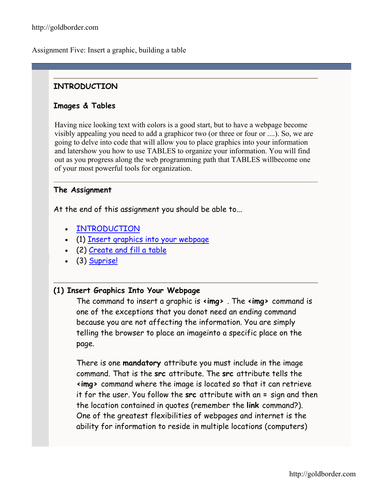Assignment Five: Insert a graphic, building a table

## **INTRODUCTION**

## **Images & Tables**

Having nice looking text with colors is a good start, but to have a webpage become visibly appealing you need to add a graphicor two (or three or four or ....). So, we are going to delve into code that will allow you to place graphics into your information and latershow you how to use TABLES to organize your information. You will find out as you progress along the web programming path that TABLES willbecome one of your most powerful tools for organization.

### **The Assignment**

At the end of this assignment you should be able to...

- [INTRODUCTION](http://goldborder.com/htmlguide/assign5.htm)
- (1) [Insert graphics into your webpage](http://goldborder.com/htmlguide/assign5.htm)
- (2) [Create and fill a table](http://goldborder.com/htmlguide/assign5.htm)
- (3) [Suprise!](http://goldborder.com/htmlguide/assign5.htm)

### **(1) Insert Graphics Into Your Webpage**

The command to insert a graphic is **<img>** . The **<img>** command is one of the exceptions that you donot need an ending command because you are not affecting the information. You are simply telling the browser to place an imageinto a specific place on the page.

There is one **mandatory** attribute you must include in the image command. That is the **src** attribute. The **src** attribute tells the **<img>** command where the image is located so that it can retrieve it for the user. You follow the **src** attribute with an **=** sign and then the location contained in quotes (remember the **link** command?). One of the greatest flexibilities of webpages and internet is the ability for information to reside in multiple locations (computers)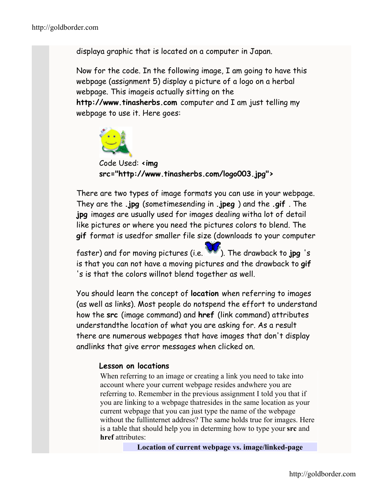displaya graphic that is located on a computer in Japan.

Now for the code. In the following image, I am going to have this webpage (assignment 5) display a picture of a logo on a herbal webpage. This imageis actually sitting on the **http://www.tinasherbs.com** computer and I am just telling my webpage to use it. Here goes:



Code Used: **<img src="http://www.tinasherbs.com/logo003.jpg">** 

There are two types of image formats you can use in your webpage. They are the **.jpg** (sometimesending in **.jpeg** ) and the **.gif** . The **jpg** images are usually used for images dealing witha lot of detail like pictures or where you need the pictures colors to blend. The **gif** format is usedfor smaller file size (downloads to your computer

faster) and for moving pictures (i.e. **W**). The drawback to jpg 's is that you can not have a moving pictures and the drawback to **gif**  's is that the colors willnot blend together as well.

You should learn the concept of **location** when referring to images (as well as links). Most people do notspend the effort to understand how the **src** (image command) and **href** (link command) attributes understandthe location of what you are asking for. As a result there are numerous webpages that have images that don't display andlinks that give error messages when clicked on.

### **Lesson on locations**

When referring to an image or creating a link you need to take into account where your current webpage resides andwhere you are referring to. Remember in the previous assignment I told you that if you are linking to a webpage thatresides in the same location as your current webpage that you can just type the name of the webpage without the fullinternet address? The same holds true for images. Here is a table that should help you in determing how to type your **src** and **href** attributes:

**Location of current webpage vs. image/linked-page**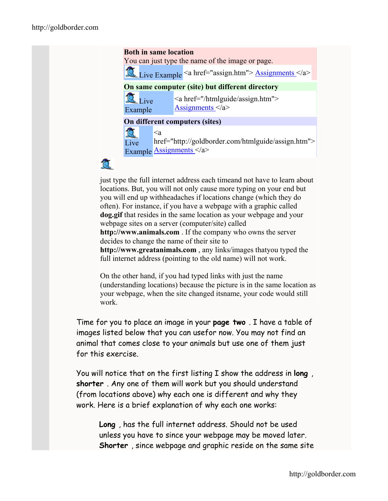#### **Both in same location**

You can just type the name of the image or page.

Live Example <a href="assign.htm">  $\Delta$  [Assignments <](http://goldborder.com/htmlguide/assign.htm)/a>

#### **On same computer (site) but different directory**

Live Example

<a href="/htmlguide/assign.htm"> [Assignments](http://goldborder.com/htmlguide/assign.htm)  $\langle a \rangle$ 

#### **On different computers (sites)**

微  $\leq_a$ href="http://goldborder.com/htmlguide/assign.htm"> Live Example **[Assignments](http://goldborder.com/htmlguide/assign.htm)** </a>



just type the full internet address each timeand not have to learn about locations. But, you will not only cause more typing on your end but you will end up withheadaches if locations change (which they do often). For instance, if you have a webpage with a graphic called **dog.gif** that resides in the same location as your webpage and your webpage sites on a server (computer/site) called **http://www.animals.com** . If the company who owns the server decides to change the name of their site to **http://www.greatanimals.com** , any links/images thatyou typed the full internet address (pointing to the old name) will not work.

On the other hand, if you had typed links with just the name (understanding locations) because the picture is in the same location as your webpage, when the site changed itsname, your code would still work.

Time for you to place an image in your **page two** . I have a table of images listed below that you can usefor now. You may not find an animal that comes close to your animals but use one of them just for this exercise.

You will notice that on the first listing I show the address in **long** , **shorter** . Any one of them will work but you should understand (from locations above) why each one is different and why they work. Here is a brief explanation of why each one works:

**Long** , has the full internet address. Should not be used unless you have to since your webpage may be moved later. **Shorter** , since webpage and graphic reside on the same site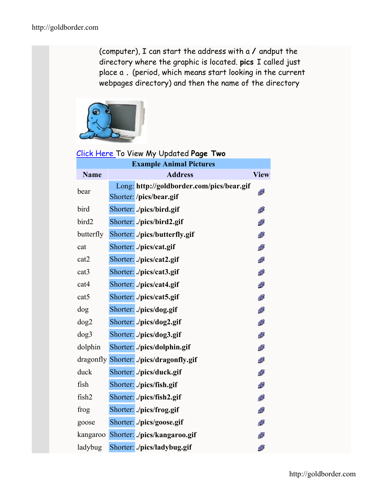(computer), I can start the address with a **/** andput the directory where the graphic is located. **pics** I called just place a **.** (period, which means start looking in the current webpages directory) and then the name of the directory



## [Click Here](http://goldborder.com/htmlguide/dave2d.htm) To View My Updated **Page Two**

| <b>Example Animal Pictures</b> |  |                                                                      |             |
|--------------------------------|--|----------------------------------------------------------------------|-------------|
| <b>Name</b>                    |  | <b>Address</b>                                                       | <b>View</b> |
| bear                           |  | Long: http://goldborder.com/pics/bear.gif<br>Shorter: /pics/bear.gif | Ø           |
| bird                           |  | Shorter: ./pics/bird.gif                                             | Ø           |
| bird2                          |  | Shorter: ./pics/bird2.gif                                            | Ø           |
| butterfly                      |  | Shorter: ./pics/butterfly.gif                                        | Ø           |
| cat                            |  | Shorter: ./pics/cat.gif                                              | ø           |
| cat2                           |  | Shorter: ./pics/cat2.gif                                             | Ø           |
| cat <sub>3</sub>               |  | Shorter: ./pics/cat3.gif                                             | Ø           |
| cat4                           |  | Shorter: ./pics/cat4.gif                                             | Ø           |
| cat <sub>5</sub>               |  | Shorter: ./pics/cat5.gif                                             | Ø           |
| dog                            |  | Shorter: ./pics/dog.gif                                              | Ø           |
| dog2                           |  | Shorter: ./pics/dog2.gif                                             | Ø           |
| dog3                           |  | Shorter: ./pics/dog3.gif                                             | Ø           |
| dolphin                        |  | Shorter: ./pics/dolphin.gif                                          | Ø           |
|                                |  | dragonfly Shorter: ./pics/dragonfly.gif                              | Ø           |
| duck                           |  | Shorter: ./pics/duck.gif                                             | Ø           |
| fish                           |  | Shorter: ./pics/fish.gif                                             | Ø           |
| fish2                          |  | Shorter: ./pics/fish2.gif                                            | Ø           |
| frog                           |  | Shorter: ./pics/frog.gif                                             | Ø           |
| goose                          |  | Shorter: ./pics/goose.gif                                            | Ø           |
| kangaroo                       |  | Shorter: ./pics/kangaroo.gif                                         | Ø           |
| ladybug                        |  | Shorter: ./pics/ladybug.gif                                          | Ø           |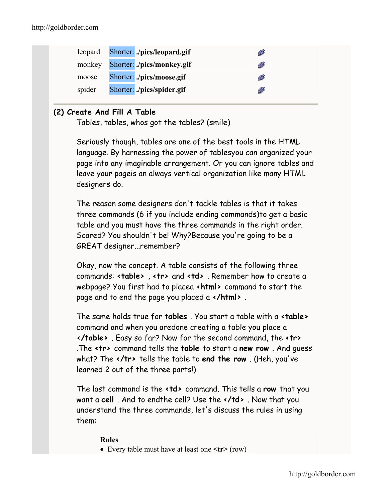| Shorter: ./pics/monkey.gif<br>Ø<br>monkey |
|-------------------------------------------|
| Shorter: ./pics/moose.gif<br>Ø<br>moose   |
| Shorter: ./pics/spider.gif<br>spider<br>Ø |

## **(2) Create And Fill A Table**

Tables, tables, whos got the tables? (smile)

Seriously though, tables are one of the best tools in the HTML language. By harnessing the power of tablesyou can organized your page into any imaginable arrangement. Or you can ignore tables and leave your pageis an always vertical organization like many HTML designers do.

The reason some designers don't tackle tables is that it takes three commands (6 if you include ending commands)to get a basic table and you must have the three commands in the right order. Scared? You shouldn't be! Why?Because you're going to be a GREAT designer...remember?

Okay, now the concept. A table consists of the following three commands: **<table>** , **<tr>** and **<td>** . Remember how to create a webpage? You first had to placea **<html>** command to start the page and to end the page you placed a **</html>** .

The same holds true for **tables** . You start a table with a **<table>**  command and when you aredone creating a table you place a **</table>** . Easy so far? Now for the second command, the **<tr>**  .The **<tr>** command tells the **table** to start a **new row** . And guess what? The **</tr>** tells the table to **end the row** . (Heh, you've learned 2 out of the three parts!)

The last command is the **<td>** command. This tells a **row** that you want a **cell** . And to endthe cell? Use the **</td>** . Now that you understand the three commands, let's discuss the rules in using them:

### **Rules**

• Every table must have at least one **<tr>** (row)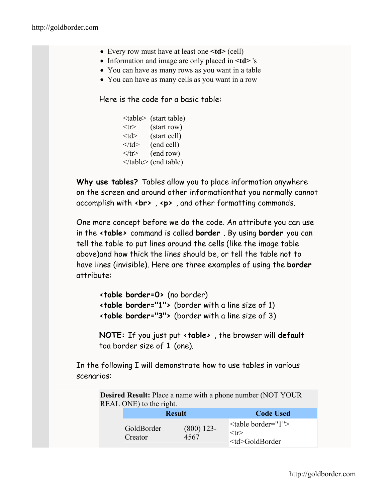- Every row must have at least one  $\leq$ **td** $>$  (cell)
- Information and image are only placed in **<td>** 's
- You can have as many rows as you want in a table
- You can have as many cells as you want in a row

Here is the code for a basic table:

|                       | <table> (start table)</table> |
|-----------------------|-------------------------------|
| $<$ tr $>$            | (start row)                   |
| $<$ td $>$            | (start cell)                  |
| $\langle t d \rangle$ | (end cell)                    |
| $\langle tr \rangle$  | (end row)                     |
|                       |                               |

 (end table)**Why use tables?** Tables allow you to place information anywhere on the screen and around other informationthat you normally cannot accomplish with **<br>** , **<p>** , and other formatting commands.

One more concept before we do the code. An attribute you can use in the **<table>** command is called **border** . By using **border** you can tell the table to put lines around the cells (like the image table above)and how thick the lines should be, or tell the table not to have lines (invisible). Here are three examples of using the **border**  attribute:

```
<table border=0> (no border) 
<table border="1"> (border with a line size of 1) 
<table border="3"> (border with a line size of 3)
```
**NOTE:** If you just put **<table>** , the browser will **default** toa border size of **1** (one).

In the following I will demonstrate how to use tables in various scenarios:

> **Desired Result:** Place a name with a phone number (NOT YOUR REAL ONE) to the right.

|                       | <b>Result</b>        | <b>Code Used</b>                                                                              |            |
|-----------------------|----------------------|-----------------------------------------------------------------------------------------------|------------|
| GoldBorder<br>Creator | $(800)$ 123-<br>4567 | " <table border="1"><br/><math>&lt;</math>tr<math>&gt;</math><br/><td>GoldBorder</td></table> | GoldBorder |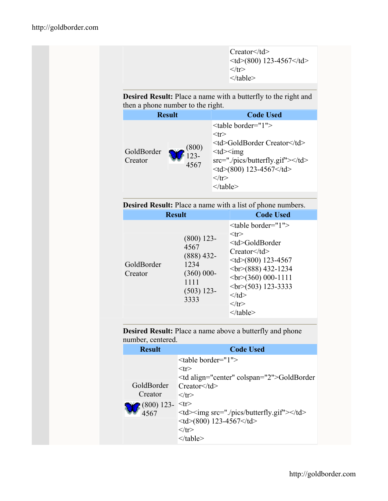Creator</td>  $<$ td $>$ (800) 123-4567 $<$ /td $>$  $\langle tr \rangle$ </table>

**Desired Result:** Place a name with a butterfly to the right and then a phone number to the right.

| <b>Result</b>                                     | <b>Code Used</b>                                                                                                                                                                                                                                                                                                                                                                    |                    |
|---------------------------------------------------|-------------------------------------------------------------------------------------------------------------------------------------------------------------------------------------------------------------------------------------------------------------------------------------------------------------------------------------------------------------------------------------|--------------------|
| (800)<br>GoldBorder<br>$123 -$<br>Creator<br>4567 | <table border="1"><br/><math>&lt;</math>tr<math>&gt;</math><br/><td>GoldBorder Creator</td><br/><math>&lt;</math>td<math>&gt;</math>img<br/><math>src="./pics/butterfly. git"&gt;&lt;\times/d&gt;</math><br/><math>&lt;</math>td<math>&gt;</math>(800) 123-4567<math>&lt;</math>/td<math>&gt;</math><br/><math>\langle tr \rangle</math><br/><math>\langle</math> table&gt;</table> | GoldBorder Creator |

| <b>Desired Result:</b> Place a name with a list of phone numbers. |
|-------------------------------------------------------------------|
|-------------------------------------------------------------------|

|                       | <b>Result</b>                                                                                | <b>Code Used</b>                                                                                                                                                                                                                                                                                                                                                                                                       |                       |
|-----------------------|----------------------------------------------------------------------------------------------|------------------------------------------------------------------------------------------------------------------------------------------------------------------------------------------------------------------------------------------------------------------------------------------------------------------------------------------------------------------------------------------------------------------------|-----------------------|
| GoldBorder<br>Creator | $(800)$ 123-<br>4567<br>$(888)$ 432-<br>1234<br>$(360)$ 000-<br>1111<br>$(503)$ 123-<br>3333 | <table border="1"><br/><math>&lt;</math>tr<math>&gt;</math><br/><td>GoldBorder<br/>Creator</td><br/><math>&lt;</math>td<math>&gt;</math>(800) 123-4567<br/><math>br&gt;(888)</math> 432-1234<br/><math>\langle br \rangle</math>(360) 000-1111<br/><math>\langle br \rangle</math>(503) 123-3333<br/><math>\lt/d</math><br/><math>\langle tr \rangle</math><br/><math>\langle</math> table<math>\rangle</math></table> | GoldBorder<br>Creator |

**Desired Result:** Place a name above a butterfly and phone number, centered.

| <b>Result</b> | <b>Code Used</b>                               |                                   |  |
|---------------|------------------------------------------------|-----------------------------------|--|
|               | <table border="1"></table>                     |                                   |  |
|               | $<$ tr $>$                                     |                                   |  |
|               | <td align="center" colspan="2">GoldBorder</td> | GoldBorder                        |  |
| GoldBorder    | Creator                                        |                                   |  |
| Creator       | $\langle$ /tr $>$                              |                                   |  |
| $(800)$ 123-  | $<$ tr $>$                                     |                                   |  |
| 4567          | <td><img src="./pics/butterfly.gif"/></td>     | <img src="./pics/butterfly.gif"/> |  |
|               | $<$ td $>$ (800) 123-4567 $<$ /td $>$          |                                   |  |
|               | $\langle$ /tr $>$                              |                                   |  |
|               | $\langle$ table>                               |                                   |  |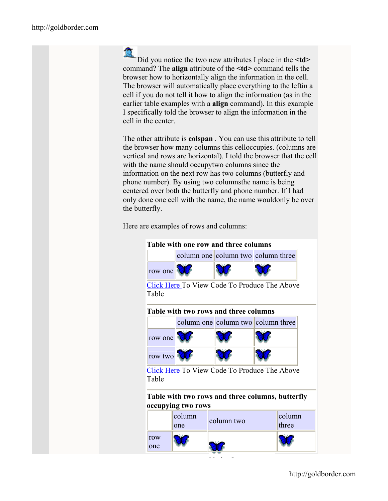# 佤

Did you notice the two new attributes I place in the  $\leq$ t**d**> command? The **align** attribute of the **<td>** command tells the browser how to horizontally align the information in the cell. The browser will automatically place everything to the leftin a cell if you do not tell it how to align the information (as in the earlier table examples with a **align** command). In this example I specifically told the browser to align the information in the cell in the center.

The other attribute is **colspan** . You can use this attribute to tell the browser how many columns this celloccupies. (columns are vertical and rows are horizontal). I told the browser that the cell with the name should occupytwo columns since the information on the next row has two columns (butterfly and phone number). By using two columnsthe name is being centered over both the butterfly and phone number. If I had only done one cell with the name, the name wouldonly be over the butterfly.

Here are examples of rows and columns:



|            | column<br>one | column two | column<br>three |
|------------|---------------|------------|-----------------|
| row<br>one |               |            |                 |

 $\cdot$  .